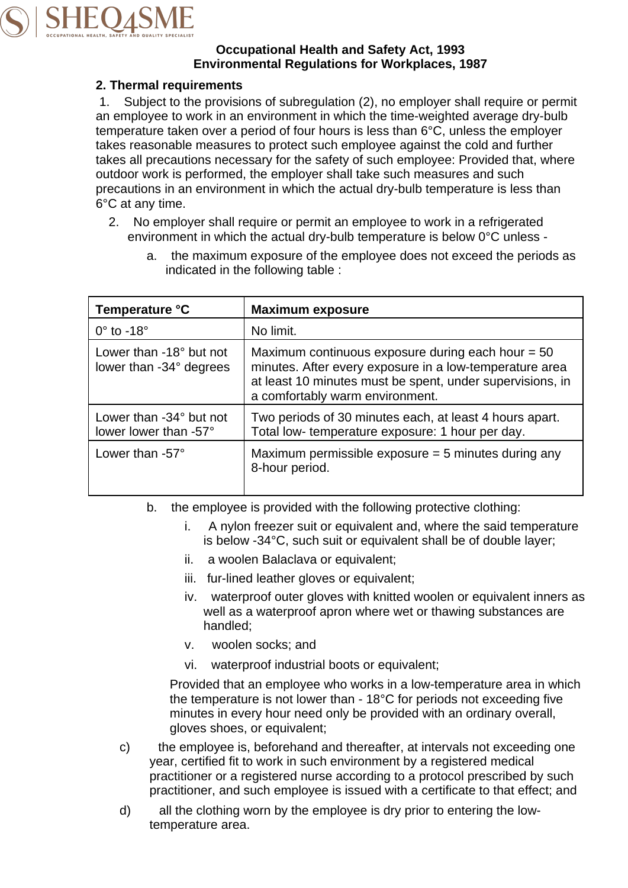

### **Occupational Health and Safety Act, 1993 Environmental Regulations for Workplaces, 1987**

## **2. Thermal requirements**

1. Subject to the provisions of subregulation (2), no employer shall require or permit an employee to work in an environment in which the time-weighted average dry-bulb temperature taken over a period of four hours is less than 6°C, unless the employer takes reasonable measures to protect such employee against the cold and further takes all precautions necessary for the safety of such employee: Provided that, where outdoor work is performed, the employer shall take such measures and such precautions in an environment in which the actual dry-bulb temperature is less than 6°C at any time.

2. No employer shall require or permit an employee to work in a refrigerated environment in which the actual dry-bulb temperature is below 0°C unless -

| Temperature °C                                            | <b>Maximum exposure</b>                                                                                                                                                                                        |
|-----------------------------------------------------------|----------------------------------------------------------------------------------------------------------------------------------------------------------------------------------------------------------------|
| $0^\circ$ to -18 $^\circ$                                 | No limit.                                                                                                                                                                                                      |
| Lower than $-18^\circ$ but not<br>lower than -34° degrees | Maximum continuous exposure during each hour $= 50$<br>minutes. After every exposure in a low-temperature area<br>at least 10 minutes must be spent, under supervisions, in<br>a comfortably warm environment. |
| Lower than $-34^\circ$ but not<br>lower lower than -57°   | Two periods of 30 minutes each, at least 4 hours apart.<br>Total low-temperature exposure: 1 hour per day.                                                                                                     |
| Lower than $-57^\circ$                                    | Maximum permissible exposure $=$ 5 minutes during any<br>8-hour period.                                                                                                                                        |

a. the maximum exposure of the employee does not exceed the periods as indicated in the following table :

- b. the employee is provided with the following protective clothing:
	- i. A nylon freezer suit or equivalent and, where the said temperature is below -34°C, such suit or equivalent shall be of double layer;
	- ii. a woolen Balaclava or equivalent;
	- iii. fur-lined leather gloves or equivalent;
	- iv. waterproof outer gloves with knitted woolen or equivalent inners as well as a waterproof apron where wet or thawing substances are handled;
	- v. woolen socks; and
	- vi. waterproof industrial boots or equivalent;

Provided that an employee who works in a low-temperature area in which the temperature is not lower than - 18°C for periods not exceeding five minutes in every hour need only be provided with an ordinary overall, gloves shoes, or equivalent;

- c) the employee is, beforehand and thereafter, at intervals not exceeding one year, certified fit to work in such environment by a registered medical practitioner or a registered nurse according to a protocol prescribed by such practitioner, and such employee is issued with a certificate to that effect; and
- d) all the clothing worn by the employee is dry prior to entering the lowtemperature area.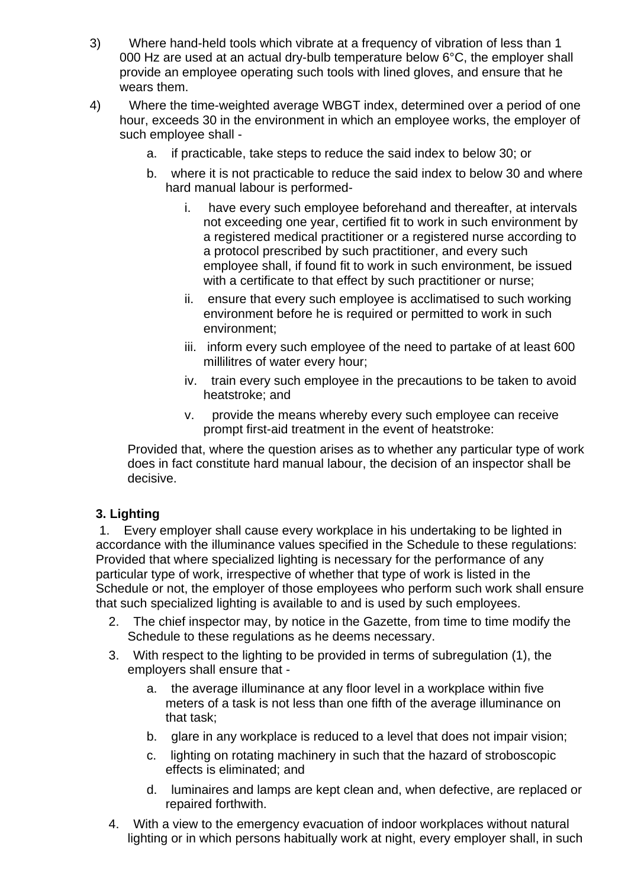- 3) Where hand-held tools which vibrate at a frequency of vibration of less than 1 000 Hz are used at an actual dry-bulb temperature below 6°C, the employer shall provide an employee operating such tools with lined gloves, and ensure that he wears them.
- 4) Where the time-weighted average WBGT index, determined over a period of one hour, exceeds 30 in the environment in which an employee works, the employer of such employee shall
	- a. if practicable, take steps to reduce the said index to below 30; or
	- b. where it is not practicable to reduce the said index to below 30 and where hard manual labour is performed
		- i. have every such employee beforehand and thereafter, at intervals not exceeding one year, certified fit to work in such environment by a registered medical practitioner or a registered nurse according to a protocol prescribed by such practitioner, and every such employee shall, if found fit to work in such environment, be issued with a certificate to that effect by such practitioner or nurse;
		- ii. ensure that every such employee is acclimatised to such working environment before he is required or permitted to work in such environment;
		- iii. inform every such employee of the need to partake of at least 600 millilitres of water every hour;
		- iv. train every such employee in the precautions to be taken to avoid heatstroke; and
		- v. provide the means whereby every such employee can receive prompt first-aid treatment in the event of heatstroke:

Provided that, where the question arises as to whether any particular type of work does in fact constitute hard manual labour, the decision of an inspector shall be decisive.

# **3. Lighting**

 1. Every employer shall cause every workplace in his undertaking to be lighted in accordance with the illuminance values specified in the Schedule to these regulations: Provided that where specialized lighting is necessary for the performance of any particular type of work, irrespective of whether that type of work is listed in the Schedule or not, the employer of those employees who perform such work shall ensure that such specialized lighting is available to and is used by such employees.

- 2. The chief inspector may, by notice in the Gazette, from time to time modify the Schedule to these regulations as he deems necessary.
- 3. With respect to the lighting to be provided in terms of subregulation (1), the employers shall ensure that
	- a. the average illuminance at any floor level in a workplace within five meters of a task is not less than one fifth of the average illuminance on that task;
	- b. glare in any workplace is reduced to a level that does not impair vision;
	- c. lighting on rotating machinery in such that the hazard of stroboscopic effects is eliminated; and
	- d. luminaires and lamps are kept clean and, when defective, are replaced or repaired forthwith.
- 4. With a view to the emergency evacuation of indoor workplaces without natural lighting or in which persons habitually work at night, every employer shall, in such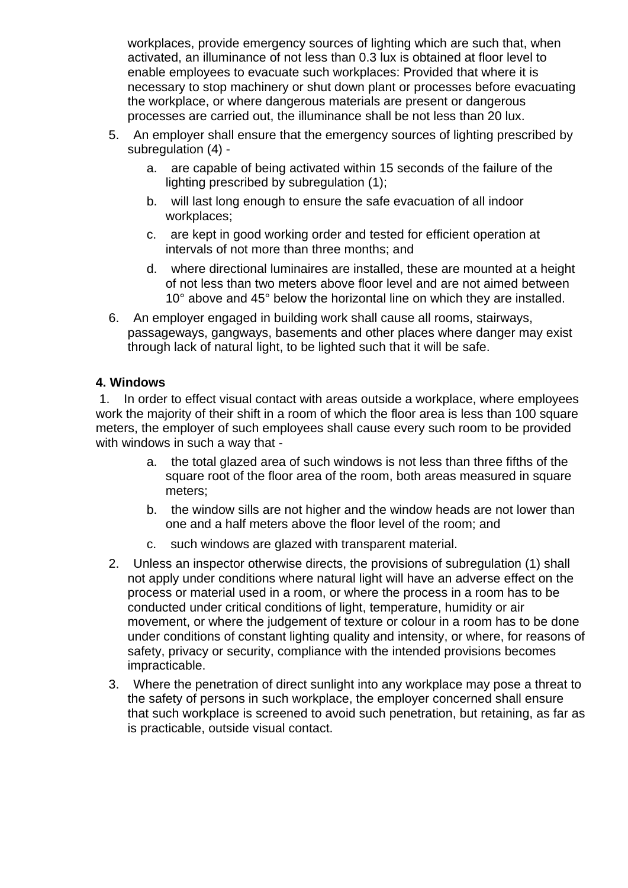workplaces, provide emergency sources of lighting which are such that, when activated, an illuminance of not less than 0.3 lux is obtained at floor level to enable employees to evacuate such workplaces: Provided that where it is necessary to stop machinery or shut down plant or processes before evacuating the workplace, or where dangerous materials are present or dangerous processes are carried out, the illuminance shall be not less than 20 lux.

- 5. An employer shall ensure that the emergency sources of lighting prescribed by subregulation (4)
	- a. are capable of being activated within 15 seconds of the failure of the lighting prescribed by subregulation (1);
	- b. will last long enough to ensure the safe evacuation of all indoor workplaces;
	- c. are kept in good working order and tested for efficient operation at intervals of not more than three months; and
	- d. where directional luminaires are installed, these are mounted at a height of not less than two meters above floor level and are not aimed between 10° above and 45° below the horizontal line on which they are installed.
- 6. An employer engaged in building work shall cause all rooms, stairways, passageways, gangways, basements and other places where danger may exist through lack of natural light, to be lighted such that it will be safe.

### **4. Windows**

 1. In order to effect visual contact with areas outside a workplace, where employees work the majority of their shift in a room of which the floor area is less than 100 square meters, the employer of such employees shall cause every such room to be provided with windows in such a way that -

- a. the total glazed area of such windows is not less than three fifths of the square root of the floor area of the room, both areas measured in square meters;
- b. the window sills are not higher and the window heads are not lower than one and a half meters above the floor level of the room; and
- c. such windows are glazed with transparent material.
- 2. Unless an inspector otherwise directs, the provisions of subregulation (1) shall not apply under conditions where natural light will have an adverse effect on the process or material used in a room, or where the process in a room has to be conducted under critical conditions of light, temperature, humidity or air movement, or where the judgement of texture or colour in a room has to be done under conditions of constant lighting quality and intensity, or where, for reasons of safety, privacy or security, compliance with the intended provisions becomes impracticable.
- 3. Where the penetration of direct sunlight into any workplace may pose a threat to the safety of persons in such workplace, the employer concerned shall ensure that such workplace is screened to avoid such penetration, but retaining, as far as is practicable, outside visual contact.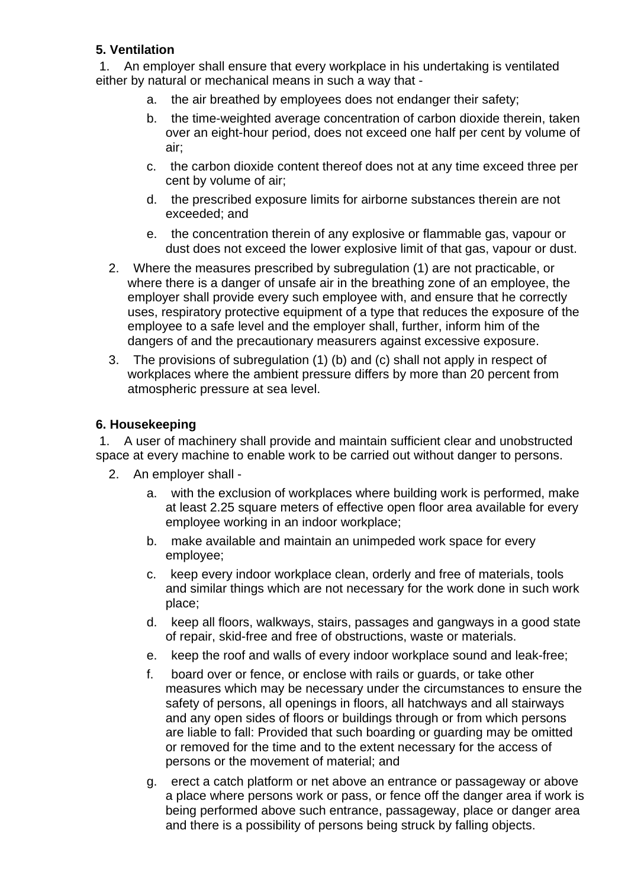# **5. Ventilation**

 1. An employer shall ensure that every workplace in his undertaking is ventilated either by natural or mechanical means in such a way that -

- a. the air breathed by employees does not endanger their safety;
- b. the time-weighted average concentration of carbon dioxide therein, taken over an eight-hour period, does not exceed one half per cent by volume of air;
- c. the carbon dioxide content thereof does not at any time exceed three per cent by volume of air;
- d. the prescribed exposure limits for airborne substances therein are not exceeded; and
- e. the concentration therein of any explosive or flammable gas, vapour or dust does not exceed the lower explosive limit of that gas, vapour or dust.
- 2. Where the measures prescribed by subregulation (1) are not practicable, or where there is a danger of unsafe air in the breathing zone of an employee, the employer shall provide every such employee with, and ensure that he correctly uses, respiratory protective equipment of a type that reduces the exposure of the employee to a safe level and the employer shall, further, inform him of the dangers of and the precautionary measurers against excessive exposure.
- 3. The provisions of subregulation (1) (b) and (c) shall not apply in respect of workplaces where the ambient pressure differs by more than 20 percent from atmospheric pressure at sea level.

# **6. Housekeeping**

 1. A user of machinery shall provide and maintain sufficient clear and unobstructed space at every machine to enable work to be carried out without danger to persons.

- 2. An employer shall
	- a. with the exclusion of workplaces where building work is performed, make at least 2.25 square meters of effective open floor area available for every employee working in an indoor workplace;
	- b. make available and maintain an unimpeded work space for every employee;
	- c. keep every indoor workplace clean, orderly and free of materials, tools and similar things which are not necessary for the work done in such work place;
	- d. keep all floors, walkways, stairs, passages and gangways in a good state of repair, skid-free and free of obstructions, waste or materials.
	- e. keep the roof and walls of every indoor workplace sound and leak-free;
	- f. board over or fence, or enclose with rails or guards, or take other measures which may be necessary under the circumstances to ensure the safety of persons, all openings in floors, all hatchways and all stairways and any open sides of floors or buildings through or from which persons are liable to fall: Provided that such boarding or guarding may be omitted or removed for the time and to the extent necessary for the access of persons or the movement of material; and
	- g. erect a catch platform or net above an entrance or passageway or above a place where persons work or pass, or fence off the danger area if work is being performed above such entrance, passageway, place or danger area and there is a possibility of persons being struck by falling objects.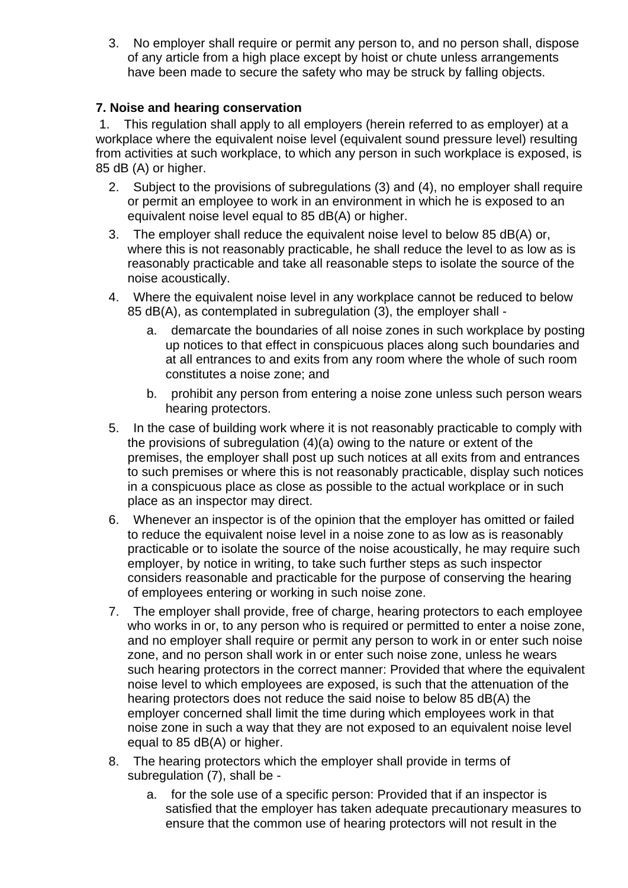3. No employer shall require or permit any person to, and no person shall, dispose of any article from a high place except by hoist or chute unless arrangements have been made to secure the safety who may be struck by falling objects.

# **7. Noise and hearing conservation**

 1. This regulation shall apply to all employers (herein referred to as employer) at a workplace where the equivalent noise level (equivalent sound pressure level) resulting from activities at such workplace, to which any person in such workplace is exposed, is 85 dB (A) or higher.

- 2. Subject to the provisions of subregulations (3) and (4), no employer shall require or permit an employee to work in an environment in which he is exposed to an equivalent noise level equal to 85 dB(A) or higher.
- 3. The employer shall reduce the equivalent noise level to below 85 dB(A) or, where this is not reasonably practicable, he shall reduce the level to as low as is reasonably practicable and take all reasonable steps to isolate the source of the noise acoustically.
- 4. Where the equivalent noise level in any workplace cannot be reduced to below 85 dB(A), as contemplated in subregulation (3), the employer shall
	- a. demarcate the boundaries of all noise zones in such workplace by posting up notices to that effect in conspicuous places along such boundaries and at all entrances to and exits from any room where the whole of such room constitutes a noise zone; and
	- b. prohibit any person from entering a noise zone unless such person wears hearing protectors.
- 5. In the case of building work where it is not reasonably practicable to comply with the provisions of subregulation (4)(a) owing to the nature or extent of the premises, the employer shall post up such notices at all exits from and entrances to such premises or where this is not reasonably practicable, display such notices in a conspicuous place as close as possible to the actual workplace or in such place as an inspector may direct.
- 6. Whenever an inspector is of the opinion that the employer has omitted or failed to reduce the equivalent noise level in a noise zone to as low as is reasonably practicable or to isolate the source of the noise acoustically, he may require such employer, by notice in writing, to take such further steps as such inspector considers reasonable and practicable for the purpose of conserving the hearing of employees entering or working in such noise zone.
- 7. The employer shall provide, free of charge, hearing protectors to each employee who works in or, to any person who is required or permitted to enter a noise zone, and no employer shall require or permit any person to work in or enter such noise zone, and no person shall work in or enter such noise zone, unless he wears such hearing protectors in the correct manner: Provided that where the equivalent noise level to which employees are exposed, is such that the attenuation of the hearing protectors does not reduce the said noise to below 85 dB(A) the employer concerned shall limit the time during which employees work in that noise zone in such a way that they are not exposed to an equivalent noise level equal to 85 dB(A) or higher.
- 8. The hearing protectors which the employer shall provide in terms of subregulation (7), shall be
	- a. for the sole use of a specific person: Provided that if an inspector is satisfied that the employer has taken adequate precautionary measures to ensure that the common use of hearing protectors will not result in the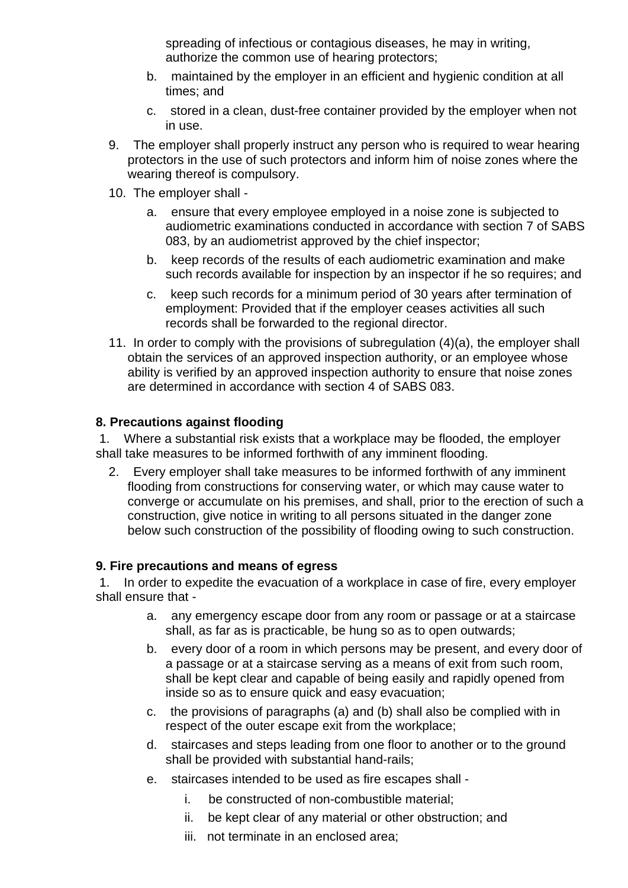spreading of infectious or contagious diseases, he may in writing, authorize the common use of hearing protectors;

- b. maintained by the employer in an efficient and hygienic condition at all times; and
- c. stored in a clean, dust-free container provided by the employer when not in use.
- 9. The employer shall properly instruct any person who is required to wear hearing protectors in the use of such protectors and inform him of noise zones where the wearing thereof is compulsory.
- 10. The employer shall
	- a. ensure that every employee employed in a noise zone is subjected to audiometric examinations conducted in accordance with section 7 of SABS 083, by an audiometrist approved by the chief inspector;
	- b. keep records of the results of each audiometric examination and make such records available for inspection by an inspector if he so requires; and
	- c. keep such records for a minimum period of 30 years after termination of employment: Provided that if the employer ceases activities all such records shall be forwarded to the regional director.
- 11. In order to comply with the provisions of subregulation (4)(a), the employer shall obtain the services of an approved inspection authority, or an employee whose ability is verified by an approved inspection authority to ensure that noise zones are determined in accordance with section 4 of SABS 083.

### **8. Precautions against flooding**

 1. Where a substantial risk exists that a workplace may be flooded, the employer shall take measures to be informed forthwith of any imminent flooding.

2. Every employer shall take measures to be informed forthwith of any imminent flooding from constructions for conserving water, or which may cause water to converge or accumulate on his premises, and shall, prior to the erection of such a construction, give notice in writing to all persons situated in the danger zone below such construction of the possibility of flooding owing to such construction.

### **9. Fire precautions and means of egress**

 1. In order to expedite the evacuation of a workplace in case of fire, every employer shall ensure that -

- a. any emergency escape door from any room or passage or at a staircase shall, as far as is practicable, be hung so as to open outwards;
- b. every door of a room in which persons may be present, and every door of a passage or at a staircase serving as a means of exit from such room, shall be kept clear and capable of being easily and rapidly opened from inside so as to ensure quick and easy evacuation;
- c. the provisions of paragraphs (a) and (b) shall also be complied with in respect of the outer escape exit from the workplace;
- d. staircases and steps leading from one floor to another or to the ground shall be provided with substantial hand-rails;
- e. staircases intended to be used as fire escapes shall
	- i. be constructed of non-combustible material;
	- ii. be kept clear of any material or other obstruction; and
	- iii. not terminate in an enclosed area;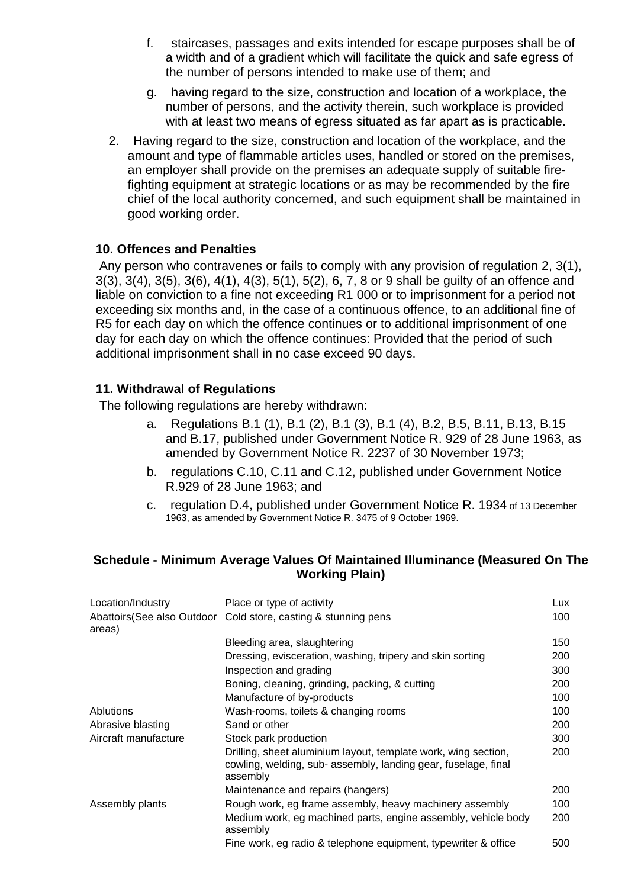- f. staircases, passages and exits intended for escape purposes shall be of a width and of a gradient which will facilitate the quick and safe egress of the number of persons intended to make use of them; and
- g. having regard to the size, construction and location of a workplace, the number of persons, and the activity therein, such workplace is provided with at least two means of egress situated as far apart as is practicable.
- 2. Having regard to the size, construction and location of the workplace, and the amount and type of flammable articles uses, handled or stored on the premises, an employer shall provide on the premises an adequate supply of suitable firefighting equipment at strategic locations or as may be recommended by the fire chief of the local authority concerned, and such equipment shall be maintained in good working order.

### **10. Offences and Penalties**

 Any person who contravenes or fails to comply with any provision of regulation 2, 3(1), 3(3), 3(4), 3(5), 3(6), 4(1), 4(3), 5(1), 5(2), 6, 7, 8 or 9 shall be guilty of an offence and liable on conviction to a fine not exceeding R1 000 or to imprisonment for a period not exceeding six months and, in the case of a continuous offence, to an additional fine of R5 for each day on which the offence continues or to additional imprisonment of one day for each day on which the offence continues: Provided that the period of such additional imprisonment shall in no case exceed 90 days.

### **11. Withdrawal of Regulations**

The following regulations are hereby withdrawn:

- a. Regulations B.1 (1), B.1 (2), B.1 (3), B.1 (4), B.2, B.5, B.11, B.13, B.15 and B.17, published under Government Notice R. 929 of 28 June 1963, as amended by Government Notice R. 2237 of 30 November 1973;
- b. regulations C.10, C.11 and C.12, published under Government Notice R.929 of 28 June 1963; and
- c. regulation D.4, published under Government Notice R. 1934 of 13 December 1963, as amended by Government Notice R. 3475 of 9 October 1969.

#### **Schedule - Minimum Average Values Of Maintained Illuminance (Measured On The Working Plain)**

| Location/Industry    | Place or type of activity                                                                                                                    | Lux. |
|----------------------|----------------------------------------------------------------------------------------------------------------------------------------------|------|
| areas)               | Abattoirs (See also Outdoor Cold store, casting & stunning pens                                                                              | 100  |
|                      | Bleeding area, slaughtering                                                                                                                  | 150  |
|                      | Dressing, evisceration, washing, tripery and skin sorting                                                                                    | 200  |
|                      | Inspection and grading                                                                                                                       | 300  |
|                      | Boning, cleaning, grinding, packing, & cutting                                                                                               | 200  |
|                      | Manufacture of by-products                                                                                                                   | 100  |
| Ablutions            | Wash-rooms, toilets & changing rooms                                                                                                         | 100  |
| Abrasive blasting    | Sand or other                                                                                                                                | 200  |
| Aircraft manufacture | Stock park production                                                                                                                        | 300  |
|                      | Drilling, sheet aluminium layout, template work, wing section,<br>cowling, welding, sub- assembly, landing gear, fuselage, final<br>assembly | 200  |
|                      | Maintenance and repairs (hangers)                                                                                                            | 200  |
| Assembly plants      | Rough work, eg frame assembly, heavy machinery assembly                                                                                      | 100  |
|                      | Medium work, eg machined parts, engine assembly, vehicle body<br>assembly                                                                    | 200  |
|                      | Fine work, eg radio & telephone equipment, typewriter & office                                                                               | 500  |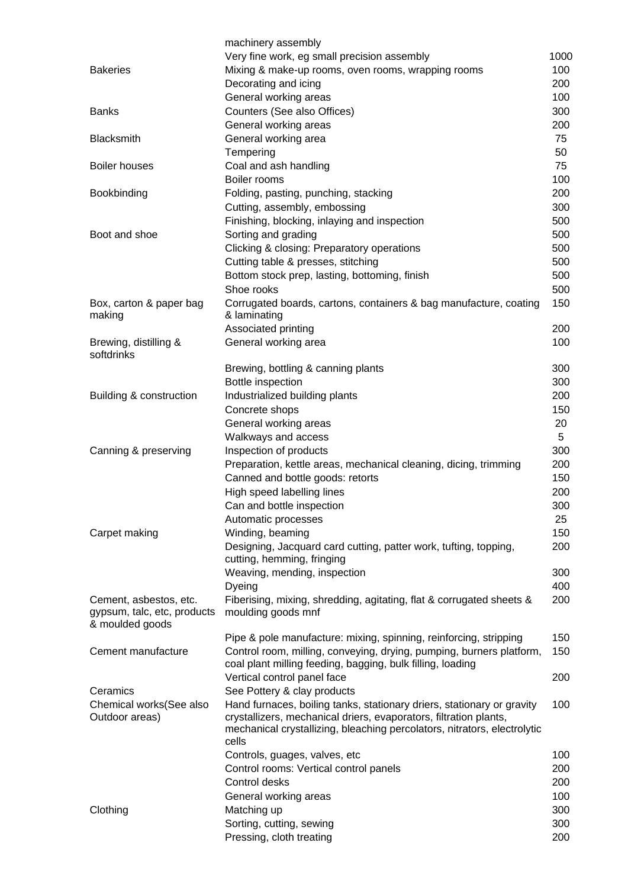|                                                                          | machinery assembly                                                                                                                                                                                                               |          |
|--------------------------------------------------------------------------|----------------------------------------------------------------------------------------------------------------------------------------------------------------------------------------------------------------------------------|----------|
|                                                                          | Very fine work, eg small precision assembly                                                                                                                                                                                      | 1000     |
| <b>Bakeries</b>                                                          | Mixing & make-up rooms, oven rooms, wrapping rooms                                                                                                                                                                               | 100      |
|                                                                          | Decorating and icing                                                                                                                                                                                                             | 200      |
|                                                                          | General working areas                                                                                                                                                                                                            | 100      |
| <b>Banks</b>                                                             | Counters (See also Offices)                                                                                                                                                                                                      | 300      |
|                                                                          | General working areas                                                                                                                                                                                                            | 200      |
| <b>Blacksmith</b>                                                        | General working area                                                                                                                                                                                                             | 75       |
| <b>Boiler houses</b>                                                     | Tempering<br>Coal and ash handling                                                                                                                                                                                               | 50<br>75 |
|                                                                          | Boiler rooms                                                                                                                                                                                                                     | 100      |
| Bookbinding                                                              | Folding, pasting, punching, stacking                                                                                                                                                                                             | 200      |
|                                                                          | Cutting, assembly, embossing                                                                                                                                                                                                     | 300      |
|                                                                          | Finishing, blocking, inlaying and inspection                                                                                                                                                                                     | 500      |
| Boot and shoe                                                            | Sorting and grading                                                                                                                                                                                                              | 500      |
|                                                                          | Clicking & closing: Preparatory operations                                                                                                                                                                                       | 500      |
|                                                                          | Cutting table & presses, stitching                                                                                                                                                                                               | 500      |
|                                                                          | Bottom stock prep, lasting, bottoming, finish                                                                                                                                                                                    | 500      |
|                                                                          | Shoe rooks                                                                                                                                                                                                                       | 500      |
| Box, carton & paper bag<br>making                                        | Corrugated boards, cartons, containers & bag manufacture, coating<br>& laminating                                                                                                                                                | 150      |
|                                                                          | Associated printing                                                                                                                                                                                                              | 200      |
| Brewing, distilling &<br>softdrinks                                      | General working area                                                                                                                                                                                                             | 100      |
|                                                                          | Brewing, bottling & canning plants                                                                                                                                                                                               | 300      |
|                                                                          | Bottle inspection                                                                                                                                                                                                                | 300      |
| Building & construction                                                  | Industrialized building plants                                                                                                                                                                                                   | 200      |
|                                                                          | Concrete shops                                                                                                                                                                                                                   | 150      |
|                                                                          | General working areas                                                                                                                                                                                                            | 20<br>5  |
| Canning & preserving                                                     | Walkways and access<br>Inspection of products                                                                                                                                                                                    | 300      |
|                                                                          | Preparation, kettle areas, mechanical cleaning, dicing, trimming                                                                                                                                                                 | 200      |
|                                                                          | Canned and bottle goods: retorts                                                                                                                                                                                                 | 150      |
|                                                                          | High speed labelling lines                                                                                                                                                                                                       | 200      |
|                                                                          | Can and bottle inspection                                                                                                                                                                                                        | 300      |
|                                                                          | Automatic processes                                                                                                                                                                                                              | 25       |
| Carpet making                                                            | Winding, beaming                                                                                                                                                                                                                 | 150      |
|                                                                          | Designing, Jacquard card cutting, patter work, tufting, topping,<br>cutting, hemming, fringing                                                                                                                                   | 200      |
|                                                                          | Weaving, mending, inspection                                                                                                                                                                                                     | 300      |
|                                                                          | Dyeing                                                                                                                                                                                                                           | 400      |
| Cement, asbestos, etc.<br>gypsum, talc, etc, products<br>& moulded goods | Fiberising, mixing, shredding, agitating, flat & corrugated sheets &<br>moulding goods mnf                                                                                                                                       | 200      |
|                                                                          | Pipe & pole manufacture: mixing, spinning, reinforcing, stripping                                                                                                                                                                | 150      |
| Cement manufacture                                                       | Control room, milling, conveying, drying, pumping, burners platform,<br>coal plant milling feeding, bagging, bulk filling, loading                                                                                               | 150      |
|                                                                          | Vertical control panel face                                                                                                                                                                                                      | 200      |
| Ceramics                                                                 | See Pottery & clay products                                                                                                                                                                                                      |          |
| Chemical works(See also<br>Outdoor areas)                                | Hand furnaces, boiling tanks, stationary driers, stationary or gravity<br>crystallizers, mechanical driers, evaporators, filtration plants,<br>mechanical crystallizing, bleaching percolators, nitrators, electrolytic<br>cells | 100      |
|                                                                          | Controls, guages, valves, etc                                                                                                                                                                                                    | 100      |
|                                                                          | Control rooms: Vertical control panels                                                                                                                                                                                           | 200      |
|                                                                          | Control desks                                                                                                                                                                                                                    | 200      |
|                                                                          | General working areas                                                                                                                                                                                                            | 100      |
| Clothing                                                                 | Matching up                                                                                                                                                                                                                      | 300      |
|                                                                          | Sorting, cutting, sewing                                                                                                                                                                                                         | 300      |
|                                                                          | Pressing, cloth treating                                                                                                                                                                                                         | 200      |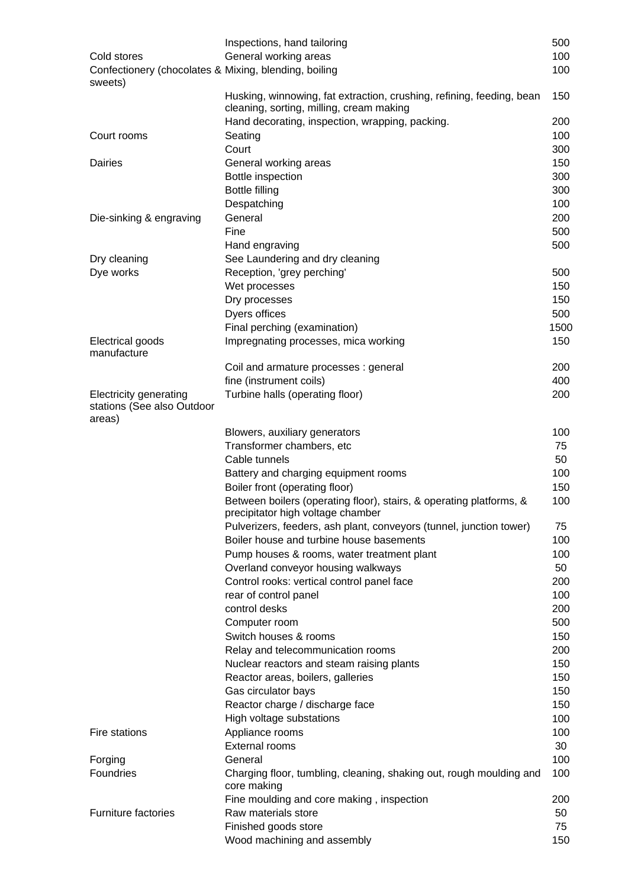|                                                                       | Inspections, hand tailoring                                                                                       | 500  |
|-----------------------------------------------------------------------|-------------------------------------------------------------------------------------------------------------------|------|
| Cold stores                                                           | General working areas                                                                                             | 100  |
| Confectionery (chocolates & Mixing, blending, boiling<br>sweets)      |                                                                                                                   | 100  |
|                                                                       | Husking, winnowing, fat extraction, crushing, refining, feeding, bean<br>cleaning, sorting, milling, cream making | 150  |
|                                                                       | Hand decorating, inspection, wrapping, packing.                                                                   | 200  |
| Court rooms                                                           | Seating                                                                                                           | 100  |
|                                                                       | Court                                                                                                             | 300  |
| <b>Dairies</b>                                                        | General working areas                                                                                             | 150  |
|                                                                       | Bottle inspection                                                                                                 | 300  |
|                                                                       | <b>Bottle filling</b>                                                                                             | 300  |
|                                                                       | Despatching                                                                                                       | 100  |
| Die-sinking & engraving                                               | General                                                                                                           | 200  |
|                                                                       | Fine                                                                                                              | 500  |
|                                                                       | Hand engraving                                                                                                    | 500  |
| Dry cleaning                                                          | See Laundering and dry cleaning                                                                                   |      |
| Dye works                                                             | Reception, 'grey perching'                                                                                        | 500  |
|                                                                       | Wet processes                                                                                                     | 150  |
|                                                                       | Dry processes                                                                                                     | 150  |
|                                                                       | Dyers offices                                                                                                     | 500  |
|                                                                       | Final perching (examination)                                                                                      | 1500 |
| Electrical goods                                                      | Impregnating processes, mica working                                                                              | 150  |
| manufacture                                                           | Coil and armature processes : general                                                                             | 200  |
|                                                                       | fine (instrument coils)                                                                                           | 400  |
| <b>Electricity generating</b><br>stations (See also Outdoor<br>areas) | Turbine halls (operating floor)                                                                                   | 200  |
|                                                                       | Blowers, auxiliary generators                                                                                     | 100  |
|                                                                       | Transformer chambers, etc                                                                                         | 75   |
|                                                                       | Cable tunnels                                                                                                     | 50   |
|                                                                       | Battery and charging equipment rooms                                                                              | 100  |
|                                                                       | Boiler front (operating floor)                                                                                    | 150  |
|                                                                       | Between boilers (operating floor), stairs, & operating platforms, &<br>precipitator high voltage chamber          | 100  |
|                                                                       | Pulverizers, feeders, ash plant, conveyors (tunnel, junction tower)                                               | 75   |
|                                                                       | Boiler house and turbine house basements                                                                          | 100  |
|                                                                       | Pump houses & rooms, water treatment plant                                                                        | 100  |
|                                                                       | Overland conveyor housing walkways                                                                                | 50   |
|                                                                       | Control rooks: vertical control panel face                                                                        | 200  |
|                                                                       | rear of control panel                                                                                             | 100  |
|                                                                       | control desks                                                                                                     | 200  |
|                                                                       | Computer room                                                                                                     | 500  |
|                                                                       | Switch houses & rooms                                                                                             | 150  |
|                                                                       | Relay and telecommunication rooms                                                                                 | 200  |
|                                                                       | Nuclear reactors and steam raising plants                                                                         | 150  |
|                                                                       | Reactor areas, boilers, galleries                                                                                 | 150  |
|                                                                       | Gas circulator bays                                                                                               | 150  |
|                                                                       | Reactor charge / discharge face                                                                                   | 150  |
|                                                                       | High voltage substations                                                                                          | 100  |
| Fire stations                                                         | Appliance rooms                                                                                                   | 100  |
|                                                                       | <b>External rooms</b>                                                                                             | 30   |
| Forging                                                               | General                                                                                                           | 100  |
| Foundries                                                             | Charging floor, tumbling, cleaning, shaking out, rough moulding and<br>core making                                | 100  |
|                                                                       | Fine moulding and core making, inspection                                                                         | 200  |
| <b>Furniture factories</b>                                            | Raw materials store                                                                                               | 50   |
|                                                                       | Finished goods store                                                                                              | 75   |
|                                                                       | Wood machining and assembly                                                                                       | 150  |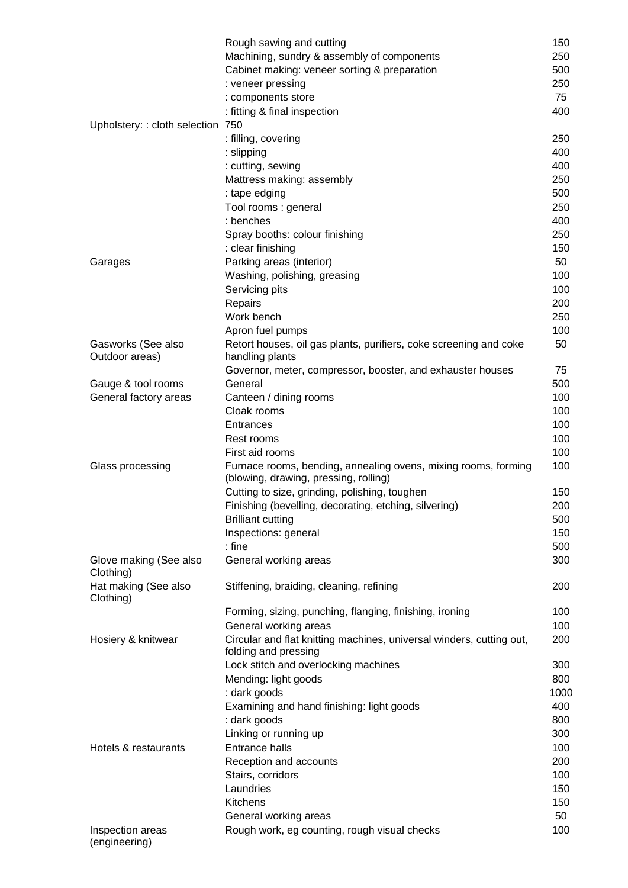|                                     | Rough sawing and cutting                                                                                | 150  |
|-------------------------------------|---------------------------------------------------------------------------------------------------------|------|
|                                     | Machining, sundry & assembly of components                                                              | 250  |
|                                     | Cabinet making: veneer sorting & preparation                                                            | 500  |
|                                     | : veneer pressing                                                                                       | 250  |
|                                     | : components store                                                                                      | 75   |
|                                     | : fitting & final inspection                                                                            | 400  |
| Upholstery: : cloth selection 750   |                                                                                                         |      |
|                                     | : filling, covering                                                                                     | 250  |
|                                     | : slipping                                                                                              | 400  |
|                                     | : cutting, sewing                                                                                       | 400  |
|                                     | Mattress making: assembly                                                                               | 250  |
|                                     | : tape edging                                                                                           | 500  |
|                                     | Tool rooms: general                                                                                     | 250  |
|                                     | : benches                                                                                               | 400  |
|                                     | Spray booths: colour finishing                                                                          | 250  |
|                                     | : clear finishing                                                                                       | 150  |
| Garages                             | Parking areas (interior)                                                                                | 50   |
|                                     | Washing, polishing, greasing                                                                            | 100  |
|                                     | Servicing pits                                                                                          | 100  |
|                                     | Repairs                                                                                                 | 200  |
|                                     | Work bench                                                                                              | 250  |
|                                     | Apron fuel pumps                                                                                        | 100  |
| Gasworks (See also                  | Retort houses, oil gas plants, purifiers, coke screening and coke                                       | 50   |
| Outdoor areas)                      | handling plants                                                                                         |      |
|                                     | Governor, meter, compressor, booster, and exhauster houses                                              | 75   |
| Gauge & tool rooms                  | General                                                                                                 | 500  |
| General factory areas               | Canteen / dining rooms                                                                                  | 100  |
|                                     | Cloak rooms                                                                                             | 100  |
|                                     | Entrances                                                                                               | 100  |
|                                     | Rest rooms                                                                                              | 100  |
|                                     | First aid rooms                                                                                         | 100  |
| Glass processing                    | Furnace rooms, bending, annealing ovens, mixing rooms, forming<br>(blowing, drawing, pressing, rolling) | 100  |
|                                     | Cutting to size, grinding, polishing, toughen                                                           | 150  |
|                                     | Finishing (bevelling, decorating, etching, silvering)                                                   | 200  |
|                                     | <b>Brilliant cutting</b>                                                                                | 500  |
|                                     | Inspections: general                                                                                    | 150  |
|                                     | $:$ fine                                                                                                | 500  |
| Glove making (See also<br>Clothing) | General working areas                                                                                   | 300  |
| Hat making (See also<br>Clothing)   | Stiffening, braiding, cleaning, refining                                                                | 200  |
|                                     | Forming, sizing, punching, flanging, finishing, ironing                                                 | 100  |
|                                     | General working areas                                                                                   | 100  |
| Hosiery & knitwear                  | Circular and flat knitting machines, universal winders, cutting out,<br>folding and pressing            | 200  |
|                                     | Lock stitch and overlocking machines                                                                    | 300  |
|                                     | Mending: light goods                                                                                    | 800  |
|                                     | : dark goods                                                                                            | 1000 |
|                                     | Examining and hand finishing: light goods                                                               | 400  |
|                                     | : dark goods                                                                                            | 800  |
|                                     | Linking or running up                                                                                   | 300  |
| Hotels & restaurants                | <b>Entrance halls</b>                                                                                   | 100  |
|                                     | Reception and accounts                                                                                  | 200  |
|                                     | Stairs, corridors                                                                                       | 100  |
|                                     | Laundries                                                                                               | 150  |
|                                     | Kitchens                                                                                                | 150  |
|                                     | General working areas                                                                                   | 50   |
| Inspection areas<br>(engineering)   | Rough work, eg counting, rough visual checks                                                            | 100  |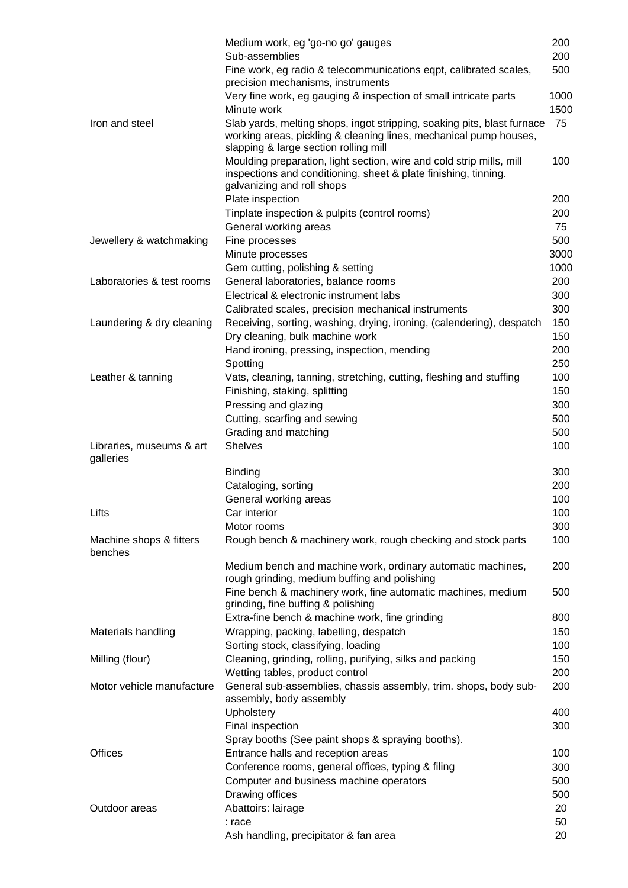|                                       | Medium work, eg 'go-no go' gauges                                                                                                                                                     | 200  |
|---------------------------------------|---------------------------------------------------------------------------------------------------------------------------------------------------------------------------------------|------|
|                                       | Sub-assemblies                                                                                                                                                                        | 200  |
|                                       | Fine work, eg radio & telecommunications eqpt, calibrated scales,<br>precision mechanisms, instruments                                                                                | 500  |
|                                       | Very fine work, eg gauging & inspection of small intricate parts                                                                                                                      | 1000 |
|                                       | Minute work                                                                                                                                                                           | 1500 |
| Iron and steel                        | Slab yards, melting shops, ingot stripping, soaking pits, blast furnace<br>working areas, pickling & cleaning lines, mechanical pump houses,<br>slapping & large section rolling mill | 75   |
|                                       | Moulding preparation, light section, wire and cold strip mills, mill<br>inspections and conditioning, sheet & plate finishing, tinning.<br>galvanizing and roll shops                 | 100  |
|                                       | Plate inspection                                                                                                                                                                      | 200  |
|                                       |                                                                                                                                                                                       |      |
|                                       | Tinplate inspection & pulpits (control rooms)                                                                                                                                         | 200  |
|                                       | General working areas                                                                                                                                                                 | 75   |
| Jewellery & watchmaking               | Fine processes                                                                                                                                                                        | 500  |
|                                       | Minute processes                                                                                                                                                                      | 3000 |
|                                       | Gem cutting, polishing & setting                                                                                                                                                      | 1000 |
| Laboratories & test rooms             | General laboratories, balance rooms                                                                                                                                                   | 200  |
|                                       | Electrical & electronic instrument labs                                                                                                                                               | 300  |
|                                       | Calibrated scales, precision mechanical instruments                                                                                                                                   | 300  |
| Laundering & dry cleaning             | Receiving, sorting, washing, drying, ironing, (calendering), despatch                                                                                                                 | 150  |
|                                       | Dry cleaning, bulk machine work                                                                                                                                                       | 150  |
|                                       | Hand ironing, pressing, inspection, mending                                                                                                                                           | 200  |
|                                       | Spotting                                                                                                                                                                              | 250  |
| Leather & tanning                     | Vats, cleaning, tanning, stretching, cutting, fleshing and stuffing                                                                                                                   | 100  |
|                                       | Finishing, staking, splitting                                                                                                                                                         | 150  |
|                                       | Pressing and glazing                                                                                                                                                                  | 300  |
|                                       | Cutting, scarfing and sewing                                                                                                                                                          | 500  |
|                                       | Grading and matching                                                                                                                                                                  | 500  |
| Libraries, museums & art<br>galleries | <b>Shelves</b>                                                                                                                                                                        | 100  |
|                                       | Binding                                                                                                                                                                               | 300  |
|                                       | Cataloging, sorting                                                                                                                                                                   | 200  |
|                                       | General working areas                                                                                                                                                                 | 100  |
| Lifts                                 | Car interior                                                                                                                                                                          | 100  |
|                                       | Motor rooms                                                                                                                                                                           | 300  |
| Machine shops & fitters<br>benches    | Rough bench & machinery work, rough checking and stock parts                                                                                                                          | 100  |
|                                       | Medium bench and machine work, ordinary automatic machines,<br>rough grinding, medium buffing and polishing                                                                           | 200  |
|                                       | Fine bench & machinery work, fine automatic machines, medium<br>grinding, fine buffing & polishing                                                                                    | 500  |
|                                       | Extra-fine bench & machine work, fine grinding                                                                                                                                        | 800  |
| Materials handling                    | Wrapping, packing, labelling, despatch                                                                                                                                                | 150  |
|                                       | Sorting stock, classifying, loading                                                                                                                                                   | 100  |
| Milling (flour)                       | Cleaning, grinding, rolling, purifying, silks and packing                                                                                                                             | 150  |
|                                       | Wetting tables, product control                                                                                                                                                       | 200  |
| Motor vehicle manufacture             | General sub-assemblies, chassis assembly, trim. shops, body sub-<br>assembly, body assembly                                                                                           | 200  |
|                                       | Upholstery                                                                                                                                                                            | 400  |
|                                       | Final inspection                                                                                                                                                                      | 300  |
|                                       | Spray booths (See paint shops & spraying booths).                                                                                                                                     |      |
| <b>Offices</b>                        | Entrance halls and reception areas                                                                                                                                                    | 100  |
|                                       | Conference rooms, general offices, typing & filing                                                                                                                                    | 300  |
|                                       | Computer and business machine operators                                                                                                                                               | 500  |
|                                       | Drawing offices                                                                                                                                                                       | 500  |
| Outdoor areas                         | Abattoirs: lairage                                                                                                                                                                    | 20   |
|                                       | : race                                                                                                                                                                                | 50   |
|                                       | Ash handling, precipitator & fan area                                                                                                                                                 | 20   |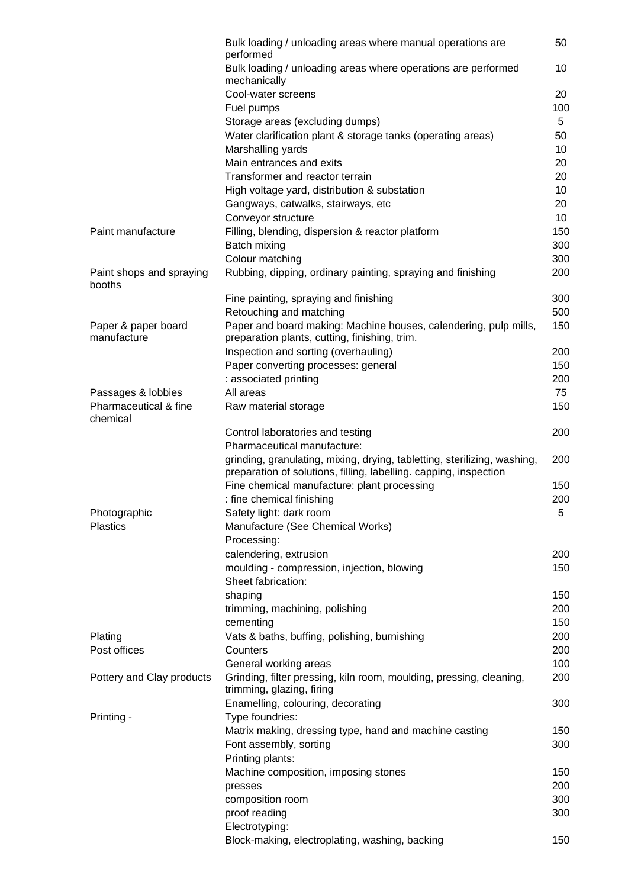|                                    | Bulk loading / unloading areas where manual operations are                                                                                    | 50       |
|------------------------------------|-----------------------------------------------------------------------------------------------------------------------------------------------|----------|
|                                    | performed                                                                                                                                     |          |
|                                    | Bulk loading / unloading areas where operations are performed                                                                                 | 10       |
|                                    | mechanically<br>Cool-water screens                                                                                                            |          |
|                                    |                                                                                                                                               | 20       |
|                                    | Fuel pumps                                                                                                                                    | 100<br>5 |
|                                    | Storage areas (excluding dumps)                                                                                                               |          |
|                                    | Water clarification plant & storage tanks (operating areas)                                                                                   | 50       |
|                                    | Marshalling yards<br>Main entrances and exits                                                                                                 | 10<br>20 |
|                                    | Transformer and reactor terrain                                                                                                               | 20       |
|                                    |                                                                                                                                               | 10       |
|                                    | High voltage yard, distribution & substation<br>Gangways, catwalks, stairways, etc                                                            | 20       |
|                                    | Conveyor structure                                                                                                                            | 10       |
| Paint manufacture                  | Filling, blending, dispersion & reactor platform                                                                                              | 150      |
|                                    | Batch mixing                                                                                                                                  | 300      |
|                                    | Colour matching                                                                                                                               | 300      |
| Paint shops and spraying           | Rubbing, dipping, ordinary painting, spraying and finishing                                                                                   | 200      |
| booths                             |                                                                                                                                               |          |
|                                    | Fine painting, spraying and finishing                                                                                                         | 300      |
|                                    | Retouching and matching                                                                                                                       | 500      |
| Paper & paper board<br>manufacture | Paper and board making: Machine houses, calendering, pulp mills,<br>preparation plants, cutting, finishing, trim.                             | 150      |
|                                    | Inspection and sorting (overhauling)                                                                                                          | 200      |
|                                    | Paper converting processes: general                                                                                                           | 150      |
|                                    | : associated printing                                                                                                                         | 200      |
| Passages & lobbies                 | All areas                                                                                                                                     | 75       |
| Pharmaceutical & fine<br>chemical  | Raw material storage                                                                                                                          | 150      |
|                                    | Control laboratories and testing                                                                                                              | 200      |
|                                    | Pharmaceutical manufacture:                                                                                                                   |          |
|                                    | grinding, granulating, mixing, drying, tabletting, sterilizing, washing,<br>preparation of solutions, filling, labelling. capping, inspection | 200      |
|                                    | Fine chemical manufacture: plant processing                                                                                                   | 150      |
|                                    | : fine chemical finishing                                                                                                                     | 200      |
| Photographic                       | Safety light: dark room                                                                                                                       | 5        |
| <b>Plastics</b>                    | Manufacture (See Chemical Works)                                                                                                              |          |
|                                    | Processing:                                                                                                                                   |          |
|                                    | calendering, extrusion                                                                                                                        | 200      |
|                                    | moulding - compression, injection, blowing                                                                                                    | 150      |
|                                    | Sheet fabrication:                                                                                                                            |          |
|                                    | shaping                                                                                                                                       | 150      |
|                                    | trimming, machining, polishing                                                                                                                | 200      |
|                                    | cementing                                                                                                                                     | 150      |
| Plating                            | Vats & baths, buffing, polishing, burnishing                                                                                                  | 200      |
| Post offices                       | Counters                                                                                                                                      | 200      |
|                                    | General working areas                                                                                                                         | 100      |
| Pottery and Clay products          | Grinding, filter pressing, kiln room, moulding, pressing, cleaning,<br>trimming, glazing, firing                                              | 200      |
|                                    | Enamelling, colouring, decorating                                                                                                             | 300      |
| Printing -                         | Type foundries:                                                                                                                               |          |
|                                    | Matrix making, dressing type, hand and machine casting                                                                                        | 150      |
|                                    | Font assembly, sorting                                                                                                                        | 300      |
|                                    | Printing plants:                                                                                                                              |          |
|                                    | Machine composition, imposing stones                                                                                                          | 150      |
|                                    | presses                                                                                                                                       | 200      |
|                                    | composition room                                                                                                                              | 300      |
|                                    | proof reading                                                                                                                                 | 300      |
|                                    | Electrotyping:                                                                                                                                |          |
|                                    | Block-making, electroplating, washing, backing                                                                                                | 150      |
|                                    |                                                                                                                                               |          |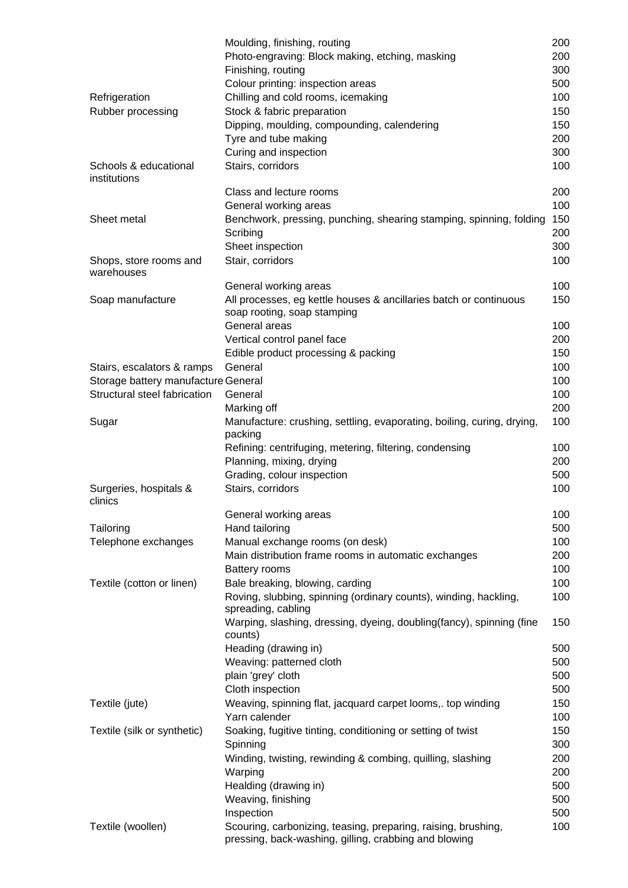|                                       | Moulding, finishing, routing                                                                                           | 200 |
|---------------------------------------|------------------------------------------------------------------------------------------------------------------------|-----|
|                                       | Photo-engraving: Block making, etching, masking                                                                        | 200 |
|                                       | Finishing, routing                                                                                                     | 300 |
|                                       | Colour printing: inspection areas                                                                                      | 500 |
| Refrigeration                         | Chilling and cold rooms, icemaking                                                                                     | 100 |
| Rubber processing                     | Stock & fabric preparation                                                                                             | 150 |
|                                       | Dipping, moulding, compounding, calendering                                                                            | 150 |
|                                       |                                                                                                                        | 200 |
|                                       | Tyre and tube making                                                                                                   |     |
|                                       | Curing and inspection                                                                                                  | 300 |
| Schools & educational<br>institutions | Stairs, corridors                                                                                                      | 100 |
|                                       | Class and lecture rooms                                                                                                | 200 |
|                                       | General working areas                                                                                                  | 100 |
| Sheet metal                           | Benchwork, pressing, punching, shearing stamping, spinning, folding                                                    | 150 |
|                                       | Scribing                                                                                                               | 200 |
|                                       | Sheet inspection                                                                                                       | 300 |
| Shops, store rooms and<br>warehouses  | Stair, corridors                                                                                                       | 100 |
|                                       | General working areas                                                                                                  | 100 |
| Soap manufacture                      | All processes, eg kettle houses & ancillaries batch or continuous<br>soap rooting, soap stamping                       | 150 |
|                                       | General areas                                                                                                          | 100 |
|                                       | Vertical control panel face                                                                                            | 200 |
|                                       | Edible product processing & packing                                                                                    | 150 |
| Stairs, escalators & ramps            | General                                                                                                                | 100 |
| Storage battery manufacture General   |                                                                                                                        | 100 |
| Structural steel fabrication          | General                                                                                                                | 100 |
|                                       | Marking off                                                                                                            | 200 |
| Sugar                                 | Manufacture: crushing, settling, evaporating, boiling, curing, drying,                                                 | 100 |
|                                       | packing                                                                                                                |     |
|                                       | Refining: centrifuging, metering, filtering, condensing                                                                | 100 |
|                                       | Planning, mixing, drying                                                                                               | 200 |
|                                       | Grading, colour inspection                                                                                             | 500 |
|                                       | Stairs, corridors                                                                                                      | 100 |
| Surgeries, hospitals &<br>clinics     |                                                                                                                        |     |
|                                       | General working areas                                                                                                  | 100 |
| Tailoring                             | Hand tailoring                                                                                                         | 500 |
| Telephone exchanges                   | Manual exchange rooms (on desk)                                                                                        | 100 |
|                                       | Main distribution frame rooms in automatic exchanges                                                                   | 200 |
|                                       | <b>Battery rooms</b>                                                                                                   | 100 |
| Textile (cotton or linen)             | Bale breaking, blowing, carding                                                                                        | 100 |
|                                       | Roving, slubbing, spinning (ordinary counts), winding, hackling,<br>spreading, cabling                                 | 100 |
|                                       | Warping, slashing, dressing, dyeing, doubling(fancy), spinning (fine<br>counts)                                        | 150 |
|                                       | Heading (drawing in)                                                                                                   | 500 |
|                                       | Weaving: patterned cloth                                                                                               | 500 |
|                                       | plain 'grey' cloth                                                                                                     | 500 |
|                                       | Cloth inspection                                                                                                       | 500 |
| Textile (jute)                        | Weaving, spinning flat, jacquard carpet looms,. top winding                                                            | 150 |
|                                       | Yarn calender                                                                                                          | 100 |
| Textile (silk or synthetic)           | Soaking, fugitive tinting, conditioning or setting of twist                                                            | 150 |
|                                       | Spinning                                                                                                               | 300 |
|                                       | Winding, twisting, rewinding & combing, quilling, slashing                                                             | 200 |
|                                       |                                                                                                                        |     |
|                                       | Warping                                                                                                                | 200 |
|                                       | Healding (drawing in)                                                                                                  | 500 |
|                                       | Weaving, finishing                                                                                                     | 500 |
|                                       | Inspection                                                                                                             | 500 |
| Textile (woollen)                     | Scouring, carbonizing, teasing, preparing, raising, brushing,<br>pressing, back-washing, gilling, crabbing and blowing | 100 |